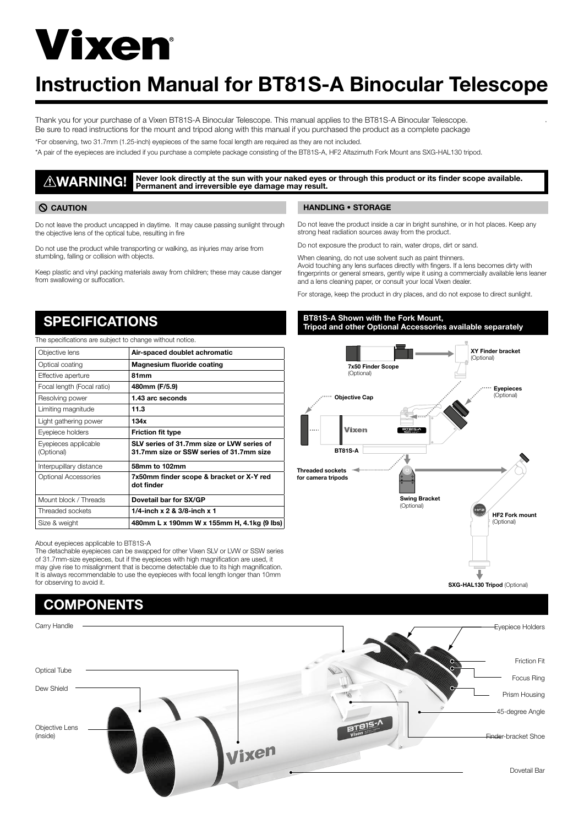# **Vixen**

### Instruction Manual for BT81S-A Binocular Telescope

Thank you for your purchase of a Vixen BT81S-A Binocular Telescope. This manual applies to the BT81S-A Binocular Telescope. Be sure to read instructions for the mount and tripod along with this manual if you purchased the product as a complete package \*For observing, two 31.7mm (1.25-inch) eyepieces of the same focal length are required as they are not included.

\*A pair of the eyepieces are included if you purchase a complete package consisting of the BT81S-A, HF2 Altazimuth Fork Mount ans SXG-HAL130 tripod.

### WARNING! Never look directly at the sun with your naked eyes or through this product or its finder scope available. Permanent and irreversible eye damage may result.

Do not leave the product uncapped in daytime. It may cause passing sunlight through the objective lens of the optical tube, resulting in fire

Do not use the product while transporting or walking, as injuries may arise from stumbling, falling or collision with objects.

Keep plastic and vinyl packing materials away from children; these may cause danger from swallowing or suffocation.

### CAUTION NANDLING • STORAGE

Do not leave the product inside a car in bright sunshine, or in hot places. Keep any strong heat radiation sources away from the product.

Do not exposure the product to rain, water drops, dirt or sand.

When cleaning, do not use solvent such as paint thinners. Avoid touching any lens surfaces directly with fingers. If a lens becomes dirty with fingerprints or general smears, gently wipe it using a commercially available lens leaner and a lens cleaning paper, or consult your local Vixen dealer.

For storage, keep the product in dry places, and do not expose to direct sunlight.

### SPECIFICATIONS

The specifications are subject to change without notice.

| Objective lens                     | Air-spaced doublet achromatic                                                          |
|------------------------------------|----------------------------------------------------------------------------------------|
| Optical coating                    | Magnesium fluoride coating                                                             |
| Effective aperture                 | 81mm                                                                                   |
| Focal length (Focal ratio)         | 480mm (F/5.9)                                                                          |
| Resolving power                    | 1.43 arc seconds                                                                       |
| Limiting magnitude                 | 11.3                                                                                   |
| Light gathering power              | 134x                                                                                   |
| Eyepiece holders                   | <b>Friction fit type</b>                                                               |
| Eyepieces applicable<br>(Optional) | SLV series of 31.7mm size or LVW series of<br>31.7mm size or SSW series of 31.7mm size |
| Interpupillary distance            | 58mm to 102mm                                                                          |
| Optional Accessories               | 7x50mm finder scope & bracket or X-Y red<br>dot finder                                 |
| Mount block / Threads              | Dovetail bar for SX/GP                                                                 |
| Threaded sockets                   | 1/4-inch $x 2 & 3/8$ -inch $x 1$                                                       |
| Size & weight                      | 480mm L x 190mm W x 155mm H, 4.1kg (9 lbs)                                             |

About eyepieces applicable to BT81S-A

The detachable eyepieces can be swapped for other Vixen SLV or LVW or SSW series of 31.7mm-size eyepieces, but if the eyepieces with high magnification are used, it may give rise to misalignment that is become detectable due to its high magnification. It is always recommendable to use the eyepieces with focal length longer than 10mm for observing to avoid it.

## **COMPONENTS** Carry Handle Eyepiece Holders Optical Tube Dew Shield

Objective Lens (inside)

### $\mathbb{R}^3$  Shown with the Fork Mount,  $\mathbb{R}^3$  Shown with the  $\mathbb{R}^3$ BT81S-A Shown with the Fork Mount, Tripod and other Optional Accessories available separately



.